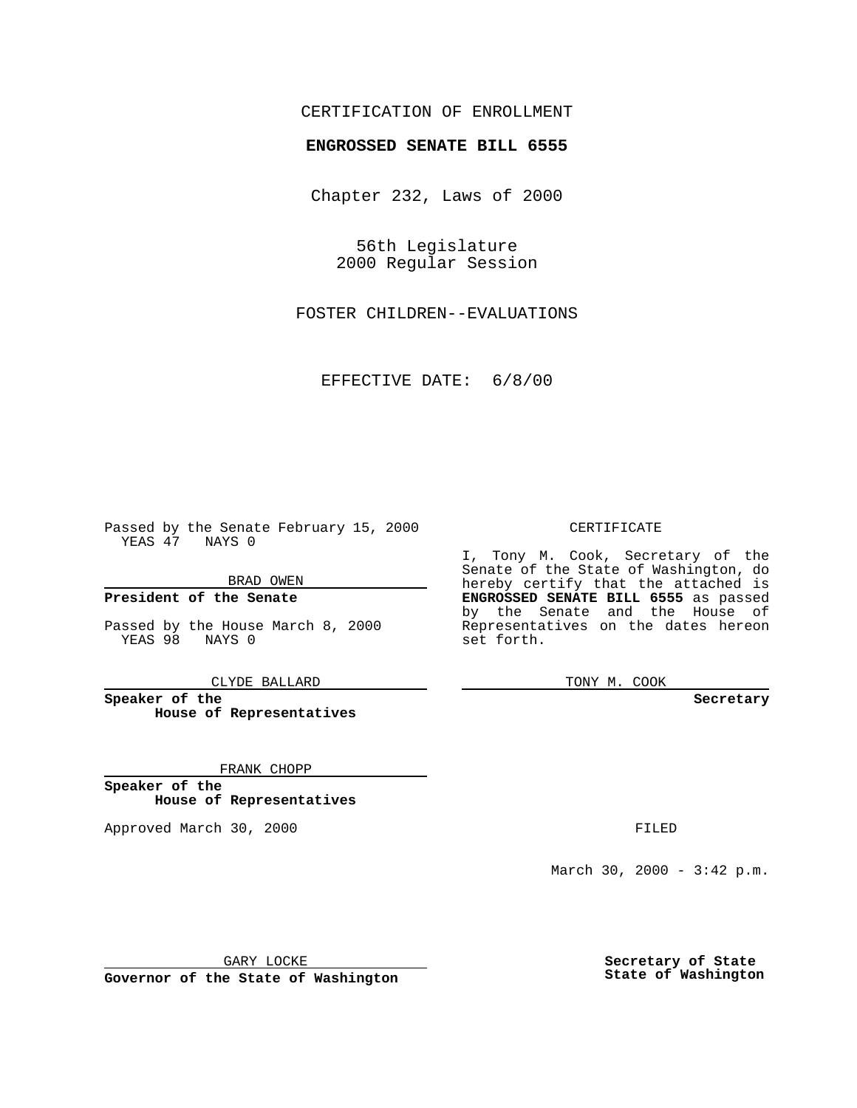### CERTIFICATION OF ENROLLMENT

# **ENGROSSED SENATE BILL 6555**

Chapter 232, Laws of 2000

56th Legislature 2000 Regular Session

FOSTER CHILDREN--EVALUATIONS

EFFECTIVE DATE: 6/8/00

Passed by the Senate February 15, 2000 YEAS 47 NAYS 0

BRAD OWEN

**President of the Senate**

Passed by the House March 8, 2000 YEAS 98 NAYS 0

CLYDE BALLARD

**Speaker of the House of Representatives**

FRANK CHOPP

**Speaker of the House of Representatives**

Approved March 30, 2000 FILED

#### CERTIFICATE

I, Tony M. Cook, Secretary of the Senate of the State of Washington, do hereby certify that the attached is **ENGROSSED SENATE BILL 6555** as passed by the Senate and the House of Representatives on the dates hereon set forth.

TONY M. COOK

#### **Secretary**

March 30, 2000 - 3:42 p.m.

GARY LOCKE

**Governor of the State of Washington**

**Secretary of State State of Washington**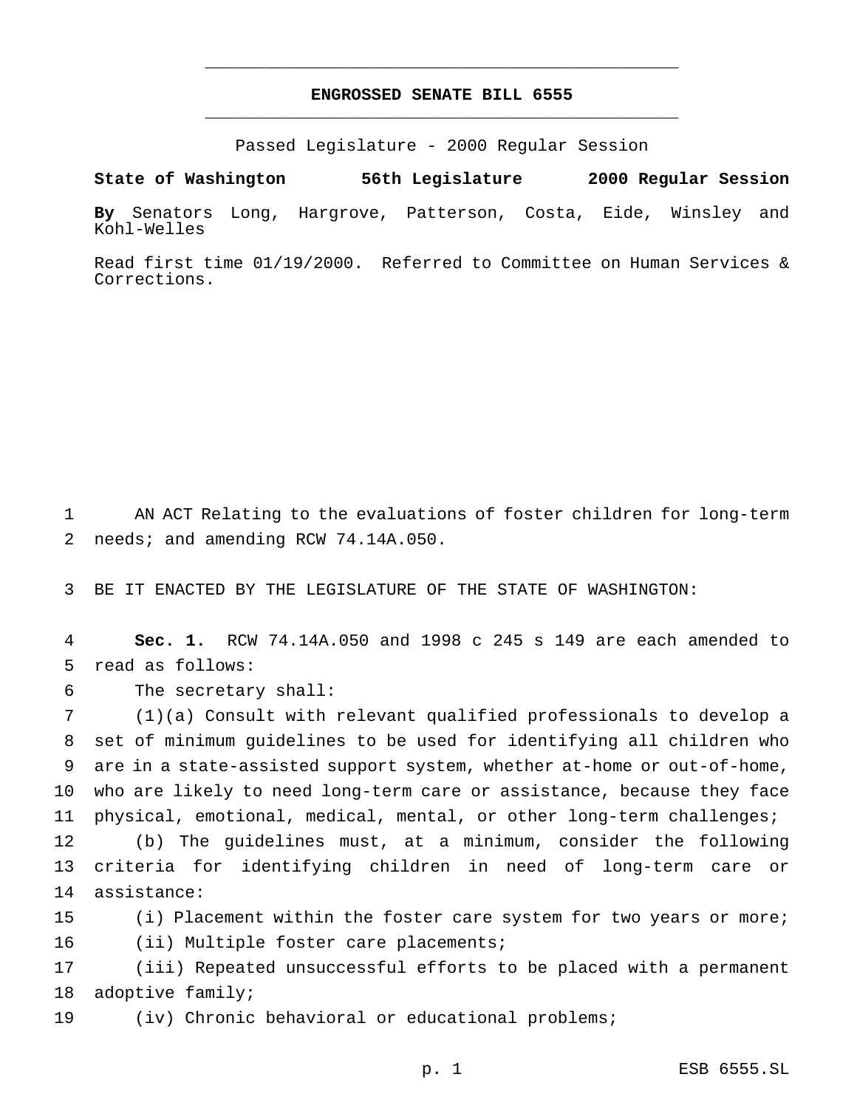## **ENGROSSED SENATE BILL 6555** \_\_\_\_\_\_\_\_\_\_\_\_\_\_\_\_\_\_\_\_\_\_\_\_\_\_\_\_\_\_\_\_\_\_\_\_\_\_\_\_\_\_\_\_\_\_\_

\_\_\_\_\_\_\_\_\_\_\_\_\_\_\_\_\_\_\_\_\_\_\_\_\_\_\_\_\_\_\_\_\_\_\_\_\_\_\_\_\_\_\_\_\_\_\_

Passed Legislature - 2000 Regular Session

**State of Washington 56th Legislature 2000 Regular Session**

**By** Senators Long, Hargrove, Patterson, Costa, Eide, Winsley and Kohl-Welles

Read first time 01/19/2000. Referred to Committee on Human Services & Corrections.

1 AN ACT Relating to the evaluations of foster children for long-term 2 needs; and amending RCW 74.14A.050.

3 BE IT ENACTED BY THE LEGISLATURE OF THE STATE OF WASHINGTON:

4 **Sec. 1.** RCW 74.14A.050 and 1998 c 245 s 149 are each amended to 5 read as follows:

6 The secretary shall:

 (1)(a) Consult with relevant qualified professionals to develop a set of minimum guidelines to be used for identifying all children who are in a state-assisted support system, whether at-home or out-of-home, who are likely to need long-term care or assistance, because they face physical, emotional, medical, mental, or other long-term challenges;

12 (b) The guidelines must, at a minimum, consider the following 13 criteria for identifying children in need of long-term care or 14 assistance:

15 (i) Placement within the foster care system for two years or more; 16 (ii) Multiple foster care placements;

17 (iii) Repeated unsuccessful efforts to be placed with a permanent 18 adoptive family;

19 (iv) Chronic behavioral or educational problems;

p. 1 ESB 6555.SL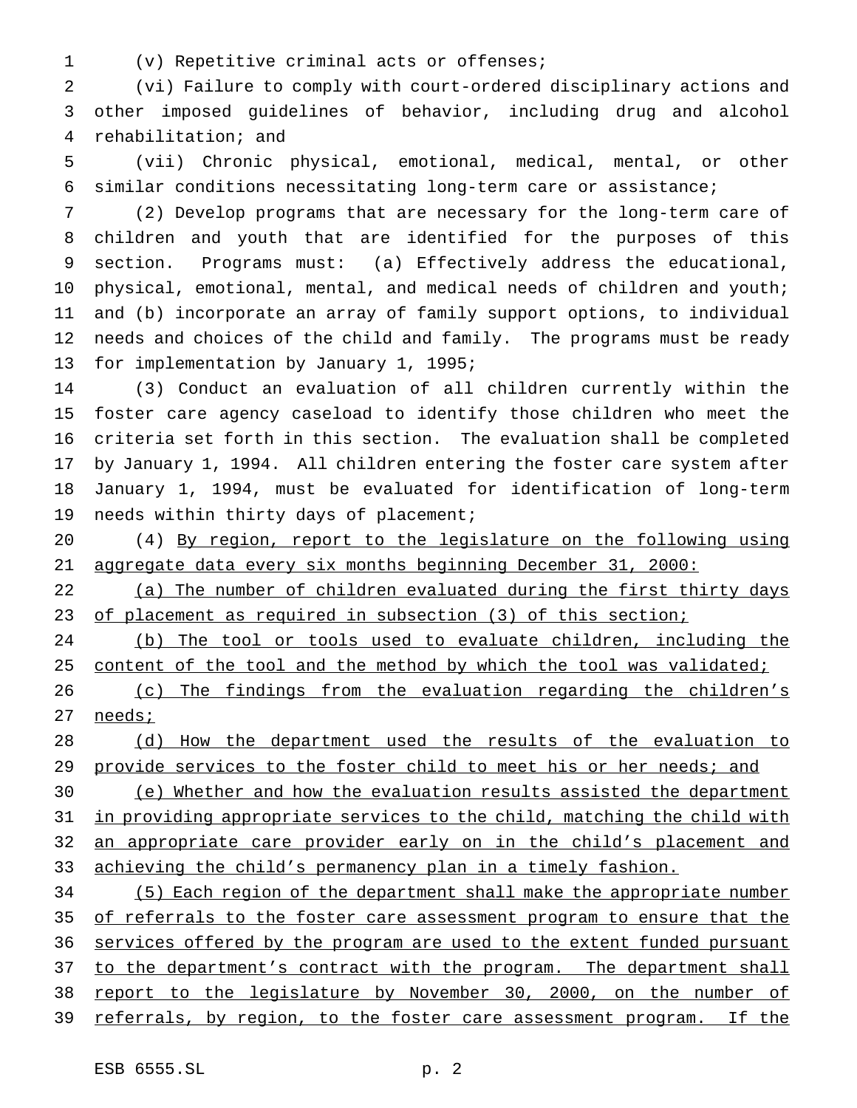(v) Repetitive criminal acts or offenses;

 (vi) Failure to comply with court-ordered disciplinary actions and other imposed guidelines of behavior, including drug and alcohol rehabilitation; and

 (vii) Chronic physical, emotional, medical, mental, or other similar conditions necessitating long-term care or assistance;

 (2) Develop programs that are necessary for the long-term care of children and youth that are identified for the purposes of this section. Programs must: (a) Effectively address the educational, physical, emotional, mental, and medical needs of children and youth; and (b) incorporate an array of family support options, to individual needs and choices of the child and family. The programs must be ready for implementation by January 1, 1995;

 (3) Conduct an evaluation of all children currently within the foster care agency caseload to identify those children who meet the criteria set forth in this section. The evaluation shall be completed by January 1, 1994. All children entering the foster care system after January 1, 1994, must be evaluated for identification of long-term needs within thirty days of placement;

 (4) By region, report to the legislature on the following using aggregate data every six months beginning December 31, 2000:

22 (a) The number of children evaluated during the first thirty days 23 of placement as required in subsection (3) of this section;

 (b) The tool or tools used to evaluate children, including the 25 content of the tool and the method by which the tool was validated;

 (c) The findings from the evaluation regarding the children's needs;

 (d) How the department used the results of the evaluation to 29 provide services to the foster child to meet his or her needs; and

 (e) Whether and how the evaluation results assisted the department 31 in providing appropriate services to the child, matching the child with 32 an appropriate care provider early on in the child's placement and 33 achieving the child's permanency plan in a timely fashion.

 (5) Each region of the department shall make the appropriate number of referrals to the foster care assessment program to ensure that the 36 services offered by the program are used to the extent funded pursuant 37 to the department's contract with the program. The department shall report to the legislature by November 30, 2000, on the number of referrals, by region, to the foster care assessment program. If the